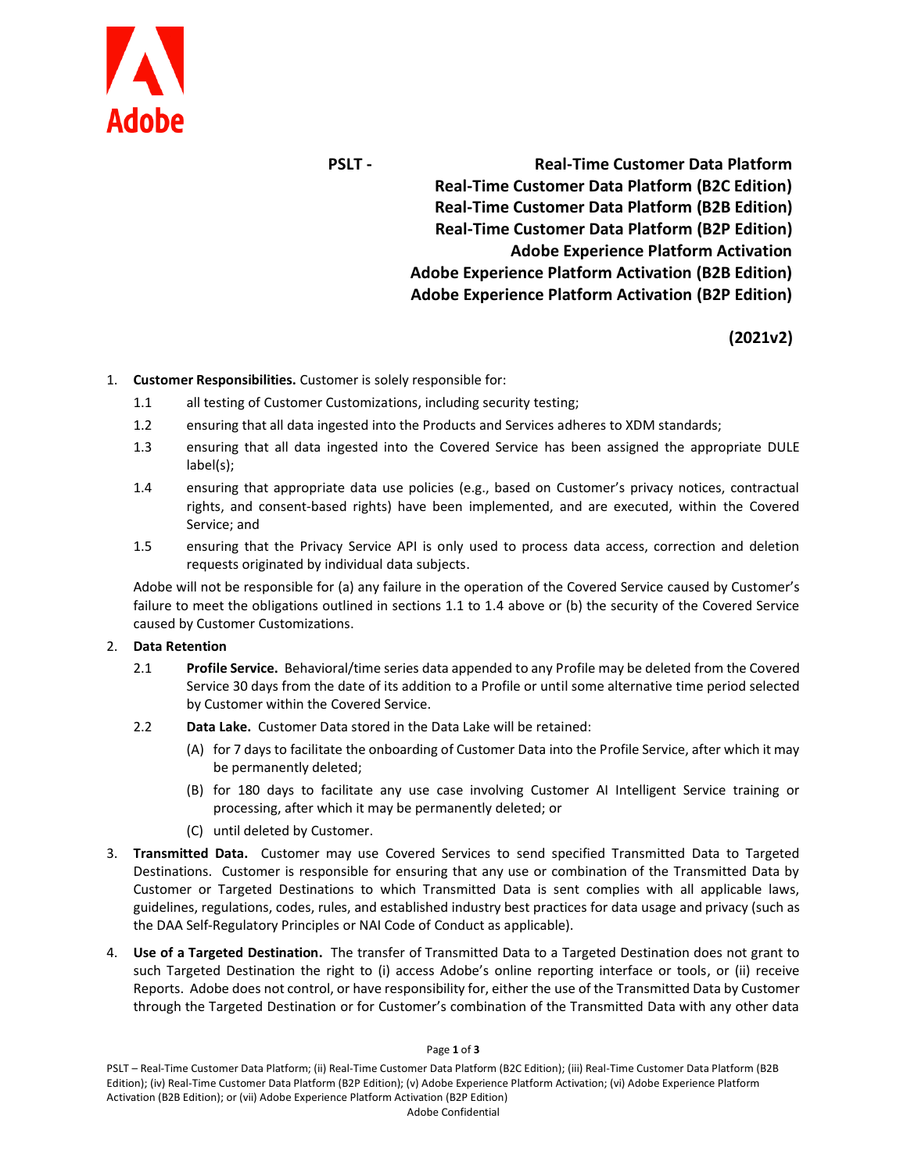

**PSLT - Real-Time Customer Data Platform Real-Time Customer Data Platform (B2C Edition) Real-Time Customer Data Platform (B2B Edition) Real-Time Customer Data Platform (B2P Edition) Adobe Experience Platform Activation Adobe Experience Platform Activation (B2B Edition) Adobe Experience Platform Activation (B2P Edition)**

**(2021v2)**

## 1. **Customer Responsibilities.** Customer is solely responsible for:

- 1.1 all testing of Customer Customizations, including security testing;
- 1.2 ensuring that all data ingested into the Products and Services adheres to XDM standards;
- 1.3 ensuring that all data ingested into the Covered Service has been assigned the appropriate DULE label(s);
- 1.4 ensuring that appropriate data use policies (e.g., based on Customer's privacy notices, contractual rights, and consent-based rights) have been implemented, and are executed, within the Covered Service; and
- 1.5 ensuring that the Privacy Service API is only used to process data access, correction and deletion requests originated by individual data subjects.

Adobe will not be responsible for (a) any failure in the operation of the Covered Service caused by Customer's failure to meet the obligations outlined in sections 1.1 to 1.4 above or (b) the security of the Covered Service caused by Customer Customizations.

## 2. **Data Retention**

- 2.1 **Profile Service.** Behavioral/time series data appended to any Profile may be deleted from the Covered Service 30 days from the date of its addition to a Profile or until some alternative time period selected by Customer within the Covered Service.
- 2.2 **Data Lake.** Customer Data stored in the Data Lake will be retained:
	- (A) for 7 days to facilitate the onboarding of Customer Data into the Profile Service, after which it may be permanently deleted;
	- (B) for 180 days to facilitate any use case involving Customer AI Intelligent Service training or processing, after which it may be permanently deleted; or
	- (C) until deleted by Customer.
- 3. **Transmitted Data.** Customer may use Covered Services to send specified Transmitted Data to Targeted Destinations. Customer is responsible for ensuring that any use or combination of the Transmitted Data by Customer or Targeted Destinations to which Transmitted Data is sent complies with all applicable laws, guidelines, regulations, codes, rules, and established industry best practices for data usage and privacy (such as the DAA Self-Regulatory Principles or NAI Code of Conduct as applicable).
- 4. **Use of a Targeted Destination.** The transfer of Transmitted Data to a Targeted Destination does not grant to such Targeted Destination the right to (i) access Adobe's online reporting interface or tools, or (ii) receive Reports. Adobe does not control, or have responsibility for, either the use of the Transmitted Data by Customer through the Targeted Destination or for Customer's combination of the Transmitted Data with any other data

## Page **1** of **3**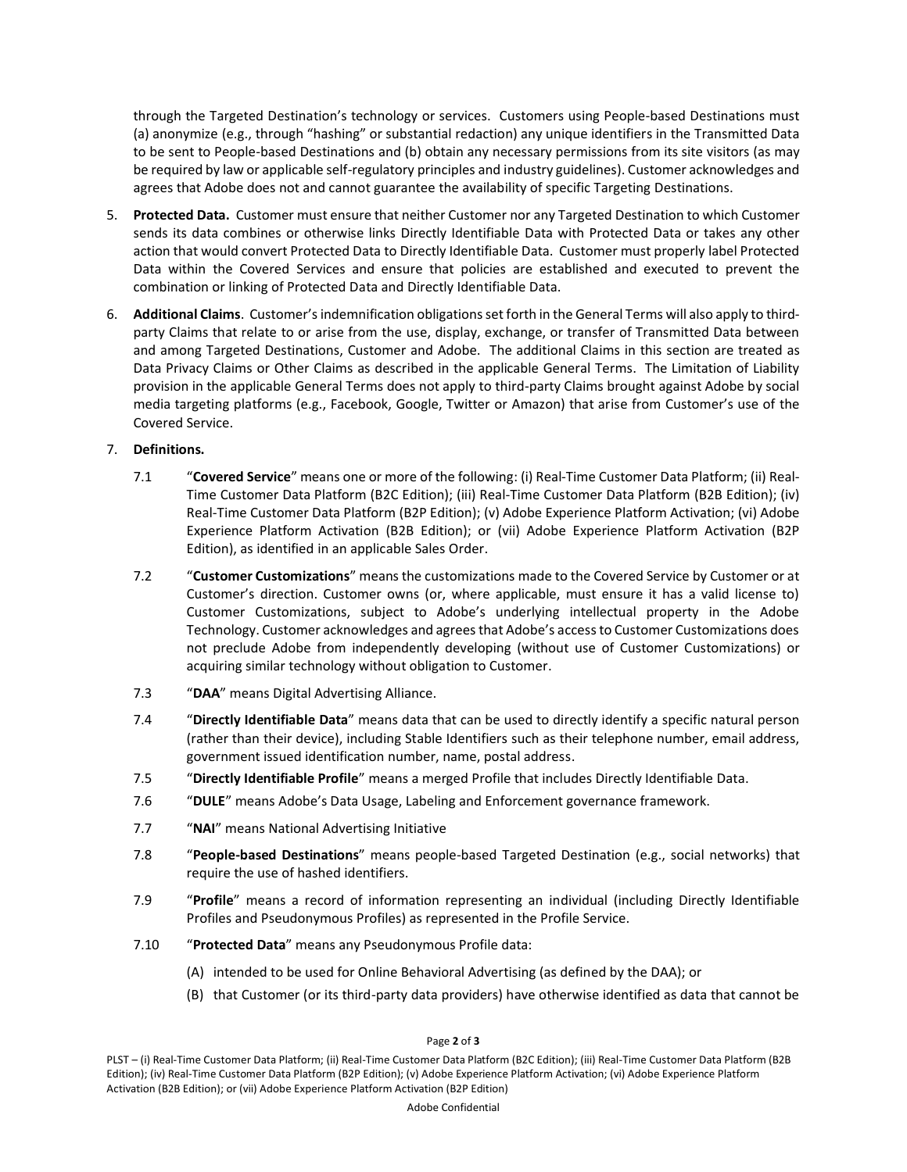through the Targeted Destination's technology or services. Customers using People-based Destinations must (a) anonymize (e.g., through "hashing" or substantial redaction) any unique identifiers in the Transmitted Data to be sent to People-based Destinations and (b) obtain any necessary permissions from its site visitors (as may be required by law or applicable self-regulatory principles and industry guidelines). Customer acknowledges and agrees that Adobe does not and cannot guarantee the availability of specific Targeting Destinations.

- 5. **Protected Data.** Customer must ensure that neither Customer nor any Targeted Destination to which Customer sends its data combines or otherwise links Directly Identifiable Data with Protected Data or takes any other action that would convert Protected Data to Directly Identifiable Data. Customer must properly label Protected Data within the Covered Services and ensure that policies are established and executed to prevent the combination or linking of Protected Data and Directly Identifiable Data.
- 6. **Additional Claims**. Customer's indemnification obligations set forth in the General Terms will also apply to thirdparty Claims that relate to or arise from the use, display, exchange, or transfer of Transmitted Data between and among Targeted Destinations, Customer and Adobe. The additional Claims in this section are treated as Data Privacy Claims or Other Claims as described in the applicable General Terms. The Limitation of Liability provision in the applicable General Terms does not apply to third-party Claims brought against Adobe by social media targeting platforms (e.g., Facebook, Google, Twitter or Amazon) that arise from Customer's use of the Covered Service.

## 7. **Definitions.**

- 7.1 "**Covered Service**" means one or more of the following: (i) Real-Time Customer Data Platform; (ii) Real-Time Customer Data Platform (B2C Edition); (iii) Real-Time Customer Data Platform (B2B Edition); (iv) Real-Time Customer Data Platform (B2P Edition); (v) Adobe Experience Platform Activation; (vi) Adobe Experience Platform Activation (B2B Edition); or (vii) Adobe Experience Platform Activation (B2P Edition), as identified in an applicable Sales Order.
- 7.2 "**Customer Customizations**" means the customizations made to the Covered Service by Customer or at Customer's direction. Customer owns (or, where applicable, must ensure it has a valid license to) Customer Customizations, subject to Adobe's underlying intellectual property in the Adobe Technology. Customer acknowledges and agrees that Adobe's access to Customer Customizations does not preclude Adobe from independently developing (without use of Customer Customizations) or acquiring similar technology without obligation to Customer.
- 7.3 "**DAA**" means Digital Advertising Alliance.
- 7.4 "**Directly Identifiable Data**" means data that can be used to directly identify a specific natural person (rather than their device), including Stable Identifiers such as their telephone number, email address, government issued identification number, name, postal address.
- 7.5 "**Directly Identifiable Profile**" means a merged Profile that includes Directly Identifiable Data.
- 7.6 "**DULE**" means Adobe's Data Usage, Labeling and Enforcement governance framework.
- 7.7 "**NAI**" means National Advertising Initiative
- 7.8 "**People-based Destinations**" means people-based Targeted Destination (e.g., social networks) that require the use of hashed identifiers.
- 7.9 "**Profile**" means a record of information representing an individual (including Directly Identifiable Profiles and Pseudonymous Profiles) as represented in the Profile Service.
- 7.10 "**Protected Data**" means any Pseudonymous Profile data:
	- (A) intended to be used for Online Behavioral Advertising (as defined by the DAA); or
	- (B) that Customer (or its third-party data providers) have otherwise identified as data that cannot be

Page **2** of **3**

PLST – (i) Real-Time Customer Data Platform; (ii) Real-Time Customer Data Platform (B2C Edition); (iii) Real-Time Customer Data Platform (B2B Edition); (iv) Real-Time Customer Data Platform (B2P Edition); (v) Adobe Experience Platform Activation; (vi) Adobe Experience Platform Activation (B2B Edition); or (vii) Adobe Experience Platform Activation (B2P Edition)